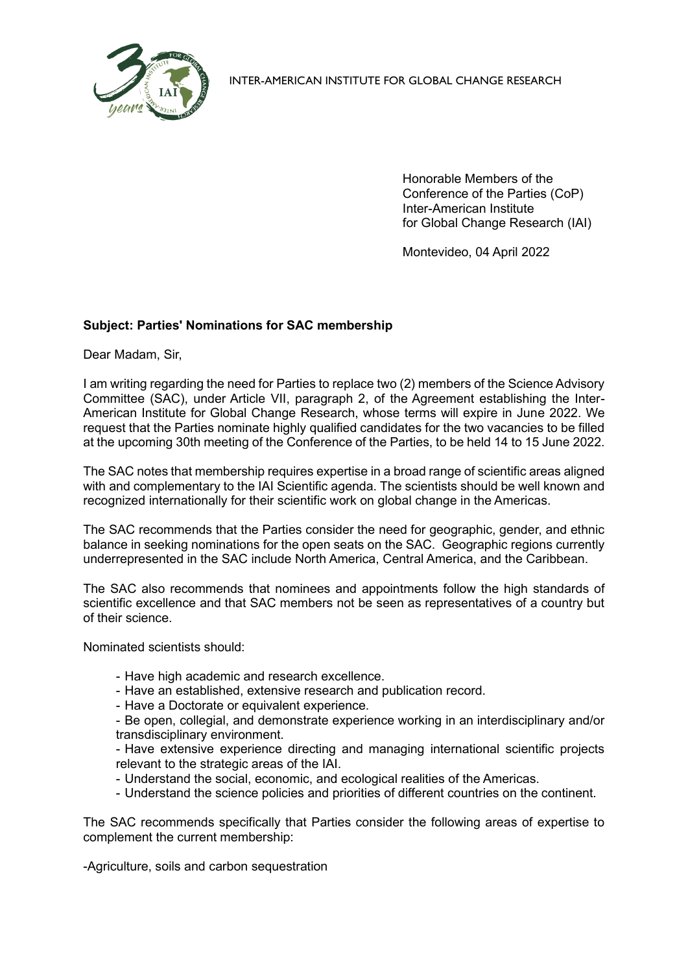

INTER-AMERICAN INSTITUTE FOR GLOBAL CHANGE RESEARCH

Honorable Members of the Conference of the Parties (CoP) Inter-American Institute for Global Change Research (IAI)

Montevideo, 04 April 2022

## **Subject: Parties' Nominations for SAC membership**

Dear Madam, Sir,

I am writing regarding the need for Parties to replace two (2) members of the Science Advisory Committee (SAC), under Article VII, paragraph 2, of the Agreement establishing the Inter-American Institute for Global Change Research, whose terms will expire in June 2022. We request that the Parties nominate highly qualified candidates for the two vacancies to be filled at the upcoming 30th meeting of the Conference of the Parties, to be held 14 to 15 June 2022.

The SAC notes that membership requires expertise in a broad range of scientific areas aligned with and complementary to the IAI Scientific agenda. The scientists should be well known and recognized internationally for their scientific work on global change in the Americas.

The SAC recommends that the Parties consider the need for geographic, gender, and ethnic balance in seeking nominations for the open seats on the SAC. Geographic regions currently underrepresented in the SAC include North America, Central America, and the Caribbean.

The SAC also recommends that nominees and appointments follow the high standards of scientific excellence and that SAC members not be seen as representatives of a country but of their science.

Nominated scientists should:

- Have high academic and research excellence.
- Have an established, extensive research and publication record.
- Have a Doctorate or equivalent experience.
- Be open, collegial, and demonstrate experience working in an interdisciplinary and/or transdisciplinary environment.
- Have extensive experience directing and managing international scientific projects relevant to the strategic areas of the IAI.
- Understand the social, economic, and ecological realities of the Americas.
- Understand the science policies and priorities of different countries on the continent.

The SAC recommends specifically that Parties consider the following areas of expertise to complement the current membership:

-Agriculture, soils and carbon sequestration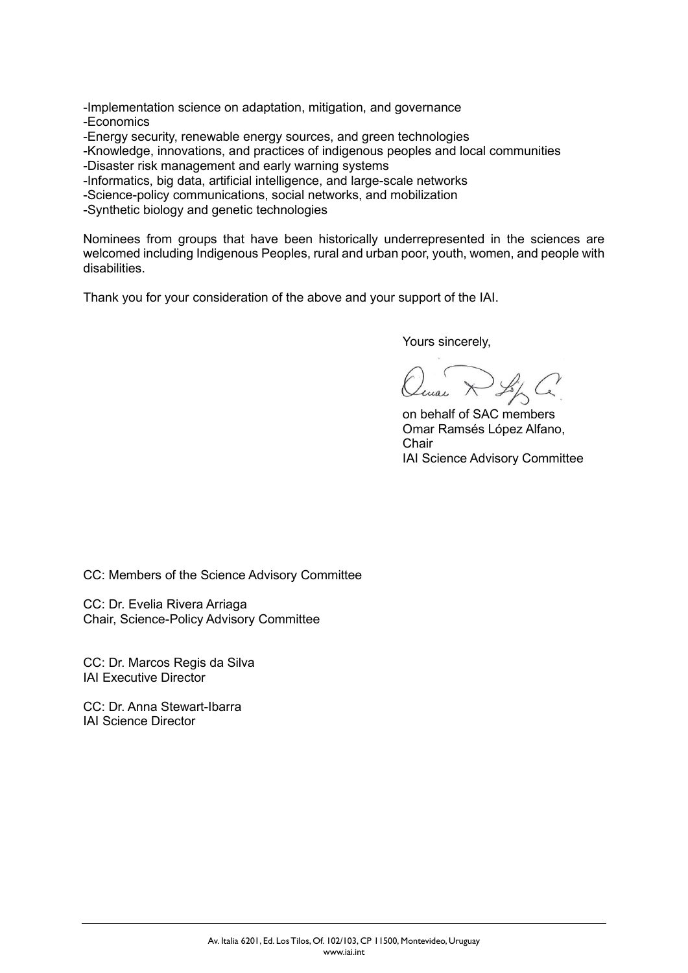-Implementation science on adaptation, mitigation, and governance -Economics

-Energy security, renewable energy sources, and green technologies

-Knowledge, innovations, and practices of indigenous peoples and local communities

-Disaster risk management and early warning systems

-Informatics, big data, artificial intelligence, and large-scale networks

-Science-policy communications, social networks, and mobilization

-Synthetic biology and genetic technologies

Nominees from groups that have been historically underrepresented in the sciences are welcomed including Indigenous Peoples, rural and urban poor, youth, women, and people with disabilities.

Thank you for your consideration of the above and your support of the IAI.

Yours sincerely,

on behalf of SAC members Omar Ramsés López Alfano, **Chair** IAI Science Advisory Committee

CC: Members of the Science Advisory Committee

CC: Dr. Evelia Rivera Arriaga Chair, Science-Policy Advisory Committee

CC: Dr. Marcos Regis da Silva IAI Executive Director

CC: Dr. Anna Stewart-Ibarra IAI Science Director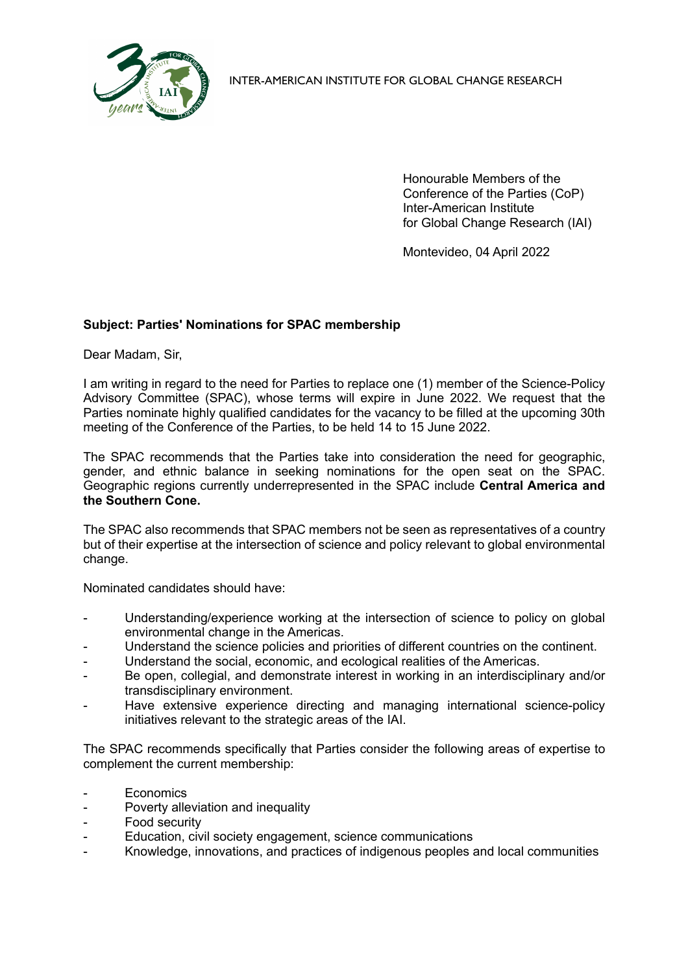

INTER-AMERICAN INSTITUTE FOR GLOBAL CHANGE RESEARCH

Honourable Members of the Conference of the Parties (CoP) Inter-American Institute for Global Change Research (IAI)

Montevideo, 04 April 2022

## **Subject: Parties' Nominations for SPAC membership**

Dear Madam, Sir,

I am writing in regard to the need for Parties to replace one (1) member of the Science-Policy Advisory Committee (SPAC), whose terms will expire in June 2022. We request that the Parties nominate highly qualified candidates for the vacancy to be filled at the upcoming 30th meeting of the Conference of the Parties, to be held 14 to 15 June 2022.

The SPAC recommends that the Parties take into consideration the need for geographic, gender, and ethnic balance in seeking nominations for the open seat on the SPAC. Geographic regions currently underrepresented in the SPAC include **Central America and the Southern Cone.**

The SPAC also recommends that SPAC members not be seen as representatives of a country but of their expertise at the intersection of science and policy relevant to global environmental change.

Nominated candidates should have:

- Understanding/experience working at the intersection of science to policy on global environmental change in the Americas.
- Understand the science policies and priorities of different countries on the continent.
- Understand the social, economic, and ecological realities of the Americas.
- Be open, collegial, and demonstrate interest in working in an interdisciplinary and/or transdisciplinary environment.
- Have extensive experience directing and managing international science-policy initiatives relevant to the strategic areas of the IAI.

The SPAC recommends specifically that Parties consider the following areas of expertise to complement the current membership:

- Economics
- Poverty alleviation and inequality
- Food security
- Education, civil society engagement, science communications
- Knowledge, innovations, and practices of indigenous peoples and local communities